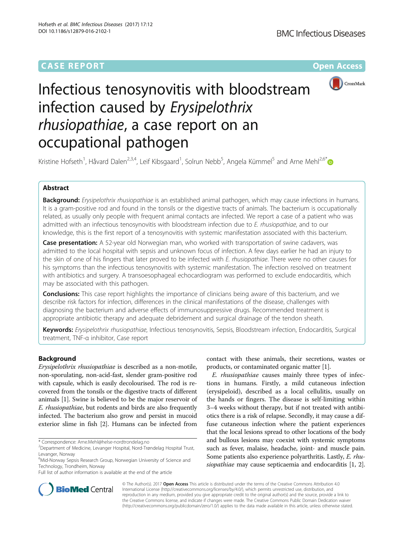# **CASE REPORT CASE REPORT CASE ACCESS**



# Infectious tenosynovitis with bloodstream infection caused by Erysipelothrix rhusiopathiae, a case report on an occupational pathogen

Kristine Hofseth<sup>1</sup>, Håvard Dalen<sup>2,3,4</sup>, Leif Kibsgaard<sup>1</sup>, Solrun Nebb<sup>5</sup>, Angela Kümmel<sup>5</sup> and Arne Mehl<sup>2,6\*</sup>

# Abstract

Background: Erysipelothrix rhusiopathiae is an established animal pathogen, which may cause infections in humans. It is a gram-positive rod and found in the tonsils or the digestive tracts of animals. The bacterium is occupationally related, as usually only people with frequent animal contacts are infected. We report a case of a patient who was admitted with an infectious tenosynovitis with bloodstream infection due to E. rhusiopathiae, and to our knowledge, this is the first report of a tenosynovitis with systemic manifestation associated with this bacterium.

**Case presentation:** A 52-year old Norwegian man, who worked with transportation of swine cadavers, was admitted to the local hospital with sepsis and unknown focus of infection. A few days earlier he had an injury to the skin of one of his fingers that later proved to be infected with E. rhusiopathiae. There were no other causes for his symptoms than the infectious tenosynovitis with systemic manifestation. The infection resolved on treatment with antibiotics and surgery. A transoesophageal echocardiogram was performed to exclude endocarditis, which may be associated with this pathogen.

**Conclusions:** This case report highlights the importance of clinicians being aware of this bacterium, and we describe risk factors for infection, differences in the clinical manifestations of the disease, challenges with diagnosing the bacterium and adverse effects of immunosuppressive drugs. Recommended treatment is appropriate antibiotic therapy and adequate debridement and surgical drainage of the tendon sheath.

Keywords: Erysipelothrix rhusiopathiae, Infectious tenosynovitis, Sepsis, Bloodstream infection, Endocarditis, Surgical treatment, TNF-α inhibitor, Case report

# Background

Erysipelothrix rhusiopathiae is described as a non-motile, non-sporulating, non-acid-fast, slender gram-positive rod with capsule, which is easily decolourised. The rod is recovered from the tonsils or the digestive tracts of different animals [[1](#page-4-0)]. Swine is believed to be the major reservoir of E. rhusiopathiae, but rodents and birds are also frequently infected. The bacterium also grow and persist in mucoid exterior slime in fish [[2\]](#page-4-0). Humans can be infected from

contact with these animals, their secretions, wastes or products, or contaminated organic matter [\[1\]](#page-4-0).

E. rhusiopathiae causes mainly three types of infections in humans. Firstly, a mild cutaneous infection (erysipeloid), described as a local cellulitis, usually on the hands or fingers. The disease is self-limiting within 3–4 weeks without therapy, but if not treated with antibiotics there is a risk of relapse. Secondly, it may cause a diffuse cutaneous infection where the patient experiences that the local lesions spread to other locations of the body and bullous lesions may coexist with systemic symptoms such as fever, malaise, headache, joint- and muscle pain. Some patients also experience polyarthritis. Lastly, E. rhusiopathiae may cause septicaemia and endocarditis [\[1, 2](#page-4-0)].



© The Author(s). 2017 **Open Access** This article is distributed under the terms of the Creative Commons Attribution 4.0 International License [\(http://creativecommons.org/licenses/by/4.0/](http://creativecommons.org/licenses/by/4.0/)), which permits unrestricted use, distribution, and reproduction in any medium, provided you give appropriate credit to the original author(s) and the source, provide a link to the Creative Commons license, and indicate if changes were made. The Creative Commons Public Domain Dedication waiver [\(http://creativecommons.org/publicdomain/zero/1.0/](http://creativecommons.org/publicdomain/zero/1.0/)) applies to the data made available in this article, unless otherwise stated.

<sup>\*</sup> Correspondence: [Arne.Mehl@helse-nordtrondelag.no](mailto:Arne.Mehl@helse-nordtrondelag.no) <sup>2</sup>

<sup>&</sup>lt;sup>2</sup>Department of Medicine, Levanger Hospital, Nord-Trøndelag Hospital Trust, Levanger, Norway

<sup>&</sup>lt;sup>6</sup>Mid-Norway Sepsis Research Group, Norwegian University of Science and Technology, Trondheim, Norway

Full list of author information is available at the end of the article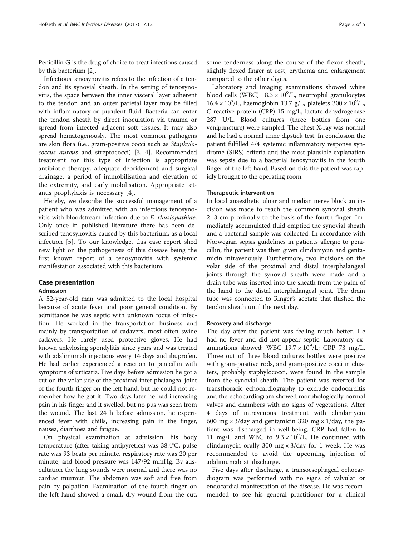Penicillin G is the drug of choice to treat infections caused by this bacterium [[2\]](#page-4-0).

Infectious tenosynovitis refers to the infection of a tendon and its synovial sheath. In the setting of tenosynovitis, the space between the inner visceral layer adherent to the tendon and an outer parietal layer may be filled with inflammatory or purulent fluid. Bacteria can enter the tendon sheath by direct inoculation via trauma or spread from infected adjacent soft tissues. It may also spread hematogenously. The most common pathogens are skin flora (i.e., gram-positive cocci such as Staphylococcus aureus and streptococci) [[3](#page-4-0), [4\]](#page-4-0). Recommended treatment for this type of infection is appropriate antibiotic therapy, adequate debridement and surgical drainage, a period of immobilisation and elevation of the extremity, and early mobilisation. Appropriate tetanus prophylaxis is necessary [\[4](#page-4-0)].

Hereby, we describe the successful management of a patient who was admitted with an infectious tenosynovitis with bloodstream infection due to E. rhusiopathiae. Only once in published literature there has been described tenosynovitis caused by this bacterium, as a local infection [\[5](#page-4-0)]. To our knowledge, this case report shed new light on the pathogenesis of this disease being the first known report of a tenosynovitis with systemic manifestation associated with this bacterium.

## Case presentation

## Admission

A 52-year-old man was admitted to the local hospital because of acute fever and poor general condition. By admittance he was septic with unknown focus of infection. He worked in the transportation business and mainly by transportation of cadavers, most often swine cadavers. He rarely used protective gloves. He had known ankylosing spondylitis since years and was treated with adalimumab injections every 14 days and ibuprofen. He had earlier experienced a reaction to penicillin with symptoms of urticaria. Five days before admission he got a cut on the volar side of the proximal inter phalangeal joint of the fourth finger on the left hand, but he could not remember how he got it. Two days later he had increasing pain in his finger and it swelled, but no pus was seen from the wound. The last 24 h before admission, he experienced fever with chills, increasing pain in the finger, nausea, diarrhoea and fatigue.

On physical examination at admission, his body temperature (after taking antipyretics) was 38.4°C, pulse rate was 93 beats per minute, respiratory rate was 20 per minute, and blood pressure was 147/92 mmHg. By auscultation the lung sounds were normal and there was no cardiac murmur. The abdomen was soft and free from pain by palpation. Examination of the fourth finger on the left hand showed a small, dry wound from the cut, some tenderness along the course of the flexor sheath, slightly flexed finger at rest, erythema and enlargement compared to the other digits.

Laboratory and imaging examinations showed white blood cells (WBC)  $18.3 \times 10^9$ /L, neutrophil granulocytes  $16.4 \times 10^9$ /L, haemoglobin 13.7 g/L, platelets  $300 \times 10^9$ /L, C-reactive protein (CRP) 15 mg/L, lactate dehydrogenase 287 U/L. Blood cultures (three bottles from one venipuncture) were sampled. The chest X-ray was normal and he had a normal urine dipstick test. In conclusion the patient fulfilled 4/4 systemic inflammatory response syndrome (SIRS) criteria and the most plausible explanation was sepsis due to a bacterial tenosynovitis in the fourth finger of the left hand. Based on this the patient was rapidly brought to the operating room.

## Therapeutic intervention

In local anaesthetic ulnar and median nerve block an incision was made to reach the common synovial sheath 2–3 cm proximally to the basis of the fourth finger. Immediately accumulated fluid emptied the synovial sheath and a bacterial sample was collected. In accordance with Norwegian sepsis guidelines in patients allergic to penicillin, the patient was then given clindamycin and gentamicin intravenously. Furthermore, two incisions on the volar side of the proximal and distal interphalangeal joints through the synovial sheath were made and a drain tube was inserted into the sheath from the palm of the hand to the distal interphalangeal joint. The drain tube was connected to Ringer's acetate that flushed the tendon sheath until the next day.

## Recovery and discharge

The day after the patient was feeling much better. He had no fever and did not appear septic. Laboratory examinations showed: WBC  $19.7 \times 10^9$ /L; CRP 73 mg/L. Three out of three blood cultures bottles were positive with gram-positive rods, and gram-positive cocci in clusters, probably staphylococci, were found in the sample from the synovial sheath. The patient was referred for transthoracic echocardiography to exclude endocarditis and the echocardiogram showed morphologically normal valves and chambers with no signs of vegetations. After 4 days of intravenous treatment with clindamycin 600 mg  $\times$  3/day and gentamicin 320 mg  $\times$  1/day, the patient was discharged in well-being. CRP had fallen to 11 mg/L and WBC to  $9.3 \times 10^9$ /L. He continued with clindamycin orally 300 mg  $\times$  3/day for 1 week. He was recommended to avoid the upcoming injection of adalimumab at discharge.

Five days after discharge, a transoesophageal echocardiogram was performed with no signs of valvular or endocardial manifestation of the disease. He was recommended to see his general practitioner for a clinical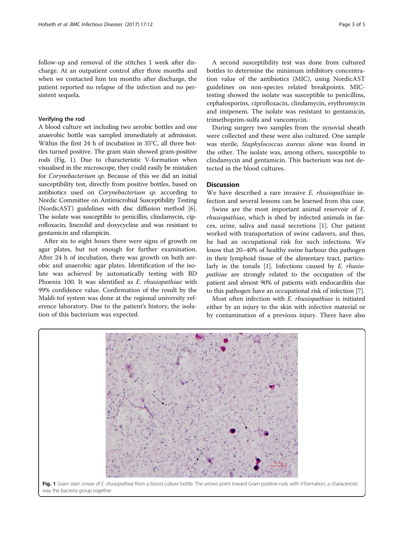follow-up and removal of the stitches 1 week after discharge. At an outpatient control after three months and when we contacted him ten months after discharge, the patient reported no relapse of the infection and no persistent sequela.

## Verifying the rod

A blood culture set including two aerobic bottles and one anaerobic bottle was sampled immediately at admission. Within the first 24 h of incubation in 35°C, all three bottles turned positive. The gram stain showed gram-positive rods (Fig. 1). Due to characteristic V-formation when visualised in the microscope, they could easily be mistaken for Corynebacterium sp. Because of this we did an initial susceptibility test, directly from positive bottles, based on antibiotics used on Corynebacterium sp. according to Nordic Committee on Antimicrobial Susceptibility Testing (NordicAST) guidelines with disc diffusion method [[6](#page-4-0)]. The isolate was susceptible to penicillin, clindamycin, ciprofloxacin, linezolid and doxycycline and was resistant to gentamicin and rifampicin.

After six to eight hours there were signs of growth on agar plates, but not enough for further examination. After 24 h of incubation, there was growth on both aerobic and anaerobic agar plates. Identification of the isolate was achieved by automatically testing with BD Phoenix 100. It was identified as E. rhusiopathiae with 99% confidence value. Confirmation of the result by the Maldi-tof system was done at the regional university reference laboratory. Due to the patient's history, the isolation of this bacterium was expected.

A second susceptibility test was done from cultured bottles to determine the minimum inhibitory concentration value of the antibiotics (MIC), using NordicAST guidelines on non-species related breakpoints. MICtesting showed the isolate was susceptible to penicillins, cephalosporins, ciprofloxacin, clindamycin, erythromycin and imipenem. The isolate was resistant to gentamicin, trimethoprim-sulfa and vancomycin.

During surgery two samples from the synovial sheath were collected and these were also cultured. One sample was sterile, Staphylococcus aureus alone was found in the other. The isolate was, among others, susceptible to clindamycin and gentamicin. This bacterium was not detected in the blood cultures.

## **Discussion**

We have described a rare invasive E. rhusiopathiae infection and several lessons can be learned from this case.

Swine are the most important animal reservoir of E. rhusiopathiae, which is shed by infected animals in faeces, urine, saliva and nasal secretions [[1\]](#page-4-0). Our patient worked with transportation of swine cadavers, and thus, he had an occupational risk for such infections. We know that 20–40% of healthy swine harbour this pathogen in their lymphoid tissue of the alimentary tract, particularly in the tonsils [[1](#page-4-0)]. Infections caused by E. rhusiopathiae are strongly related to the occupation of the patient and almost 90% of patients with endocarditis due to this pathogen have an occupational risk of infection [[7](#page-4-0)].

Most often infection with E. rhusiopathiae is initiated either by an injury to the skin with infective material or by contamination of a previous injury. There have also

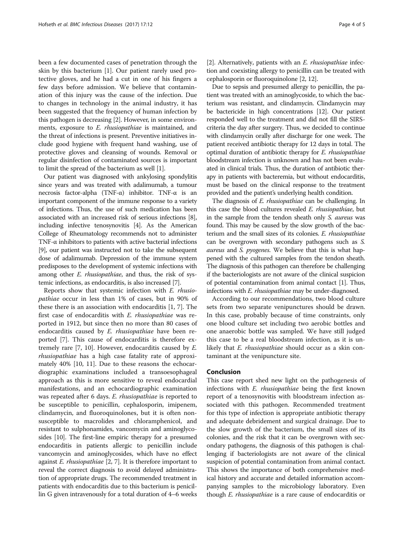been a few documented cases of penetration through the skin by this bacterium [\[1\]](#page-4-0). Our patient rarely used protective gloves, and he had a cut in one of his fingers a few days before admission. We believe that contamination of this injury was the cause of the infection. Due to changes in technology in the animal industry, it has been suggested that the frequency of human infection by this pathogen is decreasing [\[2\]](#page-4-0). However, in some environments, exposure to E. rhusiopathiae is maintained, and the threat of infections is present. Preventive initiatives include good hygiene with frequent hand washing, use of protective gloves and cleansing of wounds. Removal or regular disinfection of contaminated sources is important to limit the spread of the bacterium as well [[1\]](#page-4-0).

Our patient was diagnosed with ankylosing spondylitis since years and was treated with adalimumab, a tumour necrosis factor-alpha (TNF- $α$ ) inhibitor. TNF- $α$  is an important component of the immune response to a variety of infections. Thus, the use of such medication has been associated with an increased risk of serious infections [[8](#page-4-0)], including infective tenosynovitis [\[4\]](#page-4-0). As the American College of Rheumatology recommends not to administer TNF- $\alpha$  inhibitors to patients with active bacterial infections [[9](#page-4-0)], our patient was instructed not to take the subsequent dose of adalimumab. Depression of the immune system predisposes to the development of systemic infections with among other E. rhusiopathiae, and thus, the risk of systemic infections, as endocarditis, is also increased [\[7](#page-4-0)].

Reports show that systemic infection with E. rhusiopathiae occur in less than 1% of cases, but in 90% of these there is an association with endocarditis [\[1](#page-4-0), [7](#page-4-0)]. The first case of endocarditis with E. rhusiopathiae was reported in 1912, but since then no more than 80 cases of endocarditis caused by E. rhusiopathiae have been reported [[7](#page-4-0)]. This cause of endocarditis is therefore extremely rare [[7, 10\]](#page-4-0). However, endocarditis caused by E. rhusiopathiae has a high case fatality rate of approximately 40% [\[10](#page-4-0), [11\]](#page-4-0). Due to these reasons the echocardiographic examinations included a transoesophageal approach as this is more sensitive to reveal endocardial manifestations, and an echocardiographic examination was repeated after 6 days. E. rhusiopathiae is reported to be susceptible to penicillin, cephalosporin, imipenem, clindamycin, and fluoroquinolones, but it is often nonsusceptible to macrolides and chloramphenicol, and resistant to sulphonamides, vancomycin and aminoglycosides [\[10\]](#page-4-0). The first-line empiric therapy for a presumed endocarditis in patients allergic to penicillin include vancomycin and aminoglycosides, which have no effect against E. rhusiopathiae [[2, 7](#page-4-0)]. It is therefore important to reveal the correct diagnosis to avoid delayed administration of appropriate drugs. The recommended treatment in patients with endocarditis due to this bacterium is penicillin G given intravenously for a total duration of 4–6 weeks

[[2\]](#page-4-0). Alternatively, patients with an E. rhusiopathiae infection and coexisting allergy to penicillin can be treated with cephalosporin or fluoroquinolone [[2, 12\]](#page-4-0).

Due to sepsis and presumed allergy to penicillin, the patient was treated with an aminoglycoside, to which the bacterium was resistant, and clindamycin. Clindamycin may be bactericide in high concentrations [[12](#page-4-0)]. Our patient responded well to the treatment and did not fill the SIRScriteria the day after surgery. Thus, we decided to continue with clindamycin orally after discharge for one week. The patient received antibiotic therapy for 12 days in total. The optimal duration of antibiotic therapy for E. rhusiopathiae bloodstream infection is unknown and has not been evaluated in clinical trials. Thus, the duration of antibiotic therapy in patients with bacteremia, but without endocarditis, must be based on the clinical response to the treatment provided and the patient's underlying health condition.

The diagnosis of *E. rhusiopathiae* can be challenging. In this case the blood cultures revealed E. rhusiopathiae, but in the sample from the tendon sheath only S. aureus was found. This may be caused by the slow growth of the bacterium and the small sizes of its colonies. E. rhusiopathiae can be overgrown with secondary pathogens such as S. aureus and S. pyogenes. We believe that this is what happened with the cultured samples from the tendon sheath. The diagnosis of this pathogen can therefore be challenging if the bacteriologists are not aware of the clinical suspicion of potential contamination from animal contact [[1\]](#page-4-0). Thus, infections with *E. rhusiopathiae* may be under-diagnosed.

According to our recommendations, two blood culture sets from two separate venipunctures should be drawn. In this case, probably because of time constraints, only one blood culture set including two aerobic bottles and one anaerobic bottle was sampled. We have still judged this case to be a real bloodstream infection, as it is unlikely that E. rhusiopathiae should occur as a skin contaminant at the venipuncture site.

## Conclusion

This case report shed new light on the pathogenesis of infections with E. rhusiopathiae being the first known report of a tenosynovitis with bloodstream infection associated with this pathogen. Recommended treatment for this type of infection is appropriate antibiotic therapy and adequate debridement and surgical drainage. Due to the slow growth of the bacterium, the small sizes of its colonies, and the risk that it can be overgrown with secondary pathogens, the diagnosis of this pathogen is challenging if bacteriologists are not aware of the clinical suspicion of potential contamination from animal contact. This shows the importance of both comprehensive medical history and accurate and detailed information accompanying samples to the microbiology laboratory. Even though E. rhusiopathiae is a rare cause of endocarditis or